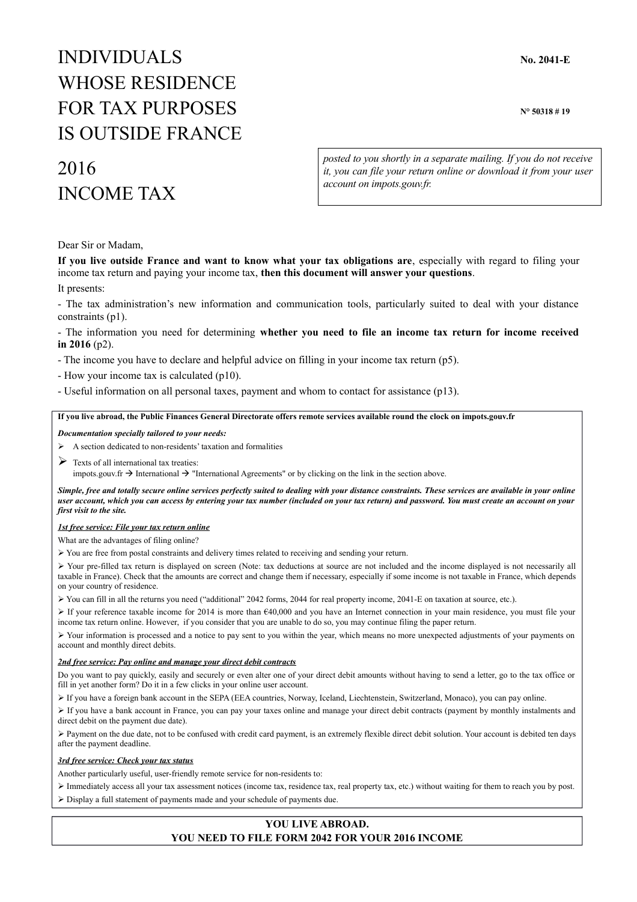# INDIVIDUALS **No. 2041-E** WHOSE RESIDENCE FOR TAX PURPOSES N° 50318 #19 IS OUTSIDE FRANCE

# 2016 INCOME TAX

*posted to you shortly in a separate mailing. If you do not receive it, you can file your return online or download it from your user account on impots.gouv.fr.*

Dear Sir or Madam,

**If you live outside France and want to know what your tax obligations are**, especially with regard to filing your income tax return and paying your income tax, **then this document will answer your questions**.

It presents:

- The tax administration's new information and communication tools, particularly suited to deal with your distance constraints (p1).

- The information you need for determining **whether you need to file an income tax return for income received in 2016** (p2).

- The income you have to declare and helpful advice on filling in your income tax return (p5).
- How your income tax is calculated (p10).
- Useful information on all personal taxes, payment and whom to contact for assistance (p13).

#### **If you live abroad, the Public Finances General Directorate offers remote services available round the clock on impots.gouv.fr**

*Documentation specially tailored to your needs:*

A section dedicated to non-residents' taxation and formalities

 $\triangleright$  Texts of all international tax treaties:

impots.gouv.fr  $\rightarrow$  International  $\rightarrow$  "International Agreements" or by clicking on the link in the section above.

*Simple, free and totally secure online services perfectly suited to dealing with your distance constraints. These services are available in your online user account, which you can access by entering your tax number (included on your tax return) and password. You must create an account on your first visit to the site.*

#### *1st free service: File your tax return online*

What are the advantages of filing online?

➢ You are free from postal constraints and delivery times related to receiving and sending your return.

➢ Your pre-filled tax return is displayed on screen (Note: tax deductions at source are not included and the income displayed is not necessarily all taxable in France). Check that the amounts are correct and change them if necessary, especially if some income is not taxable in France, which depends on your country of residence.

- ➢ You can fill in all the returns you need ("additional" 2042 forms, 2044 for real property income, 2041-E on taxation at source, etc.).
- $\triangleright$  If your reference taxable income for 2014 is more than  $\epsilon$ 40,000 and you have an Internet connection in your main residence, you must file your income tax return online. However, if you consider that you are unable to do so, you may continue filing the paper return.

➢ Your information is processed and a notice to pay sent to you within the year, which means no more unexpected adjustments of your payments on account and monthly direct debits.

#### *2nd free service: Pay online and manage your direct debit contracts*

Do you want to pay quickly, easily and securely or even alter one of your direct debit amounts without having to send a letter, go to the tax office or fill in yet another form? Do it in a few clicks in your online user account.

➢ If you have a foreign bank account in the SEPA (EEA countries, Norway, Iceland, Liechtenstein, Switzerland, Monaco), you can pay online.

➢ If you have a bank account in France, you can pay your taxes online and manage your direct debit contracts (payment by monthly instalments and direct debit on the payment due date).

➢ Payment on the due date, not to be confused with credit card payment, is an extremely flexible direct debit solution. Your account is debited ten days after the payment deadline.

#### *3rd free service: Check your tax status*

Another particularly useful, user-friendly remote service for non-residents to:

➢ Immediately access all your tax assessment notices (income tax, residence tax, real property tax, etc.) without waiting for them to reach you by post. ➢ Display a full statement of payments made and your schedule of payments due.

# **YOU LIVE ABROAD.**

#### **YOU NEED TO FILE FORM 2042 FOR YOUR 2016 INCOME**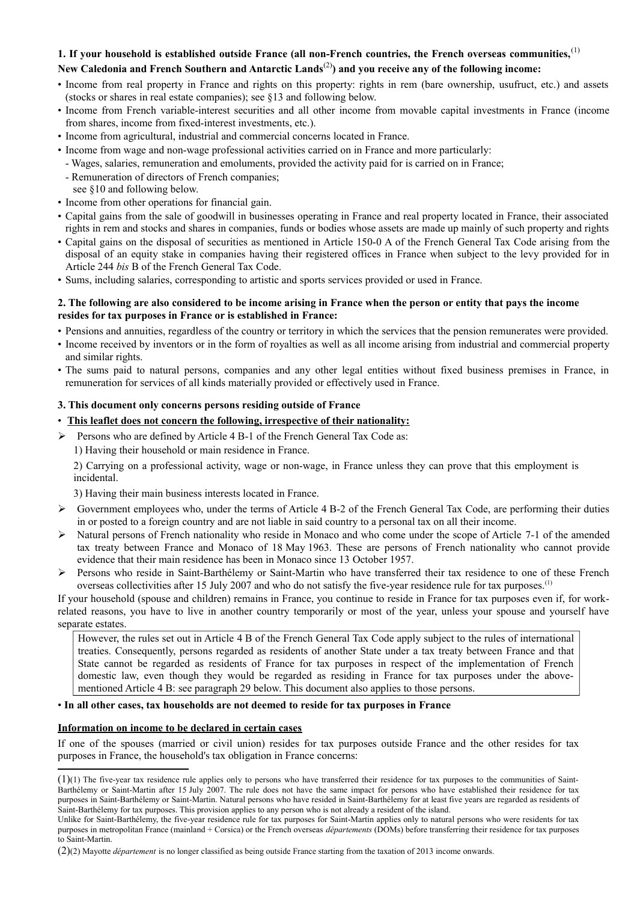# **1. If your household is established outside France (all non-French countries, the French overseas communities,**[\(1\)](#page-1-0)

# **New Caledonia and French Southern and Antarctic Lands**[\(2\)](#page-1-1)**) and you receive any of the following income:**

- Income from real property in France and rights on this property: rights in rem (bare ownership, usufruct, etc.) and assets (stocks or shares in real estate companies); see §13 and following below.
- Income from French variable-interest securities and all other income from movable capital investments in France (income from shares, income from fixed-interest investments, etc.).
- Income from agricultural, industrial and commercial concerns located in France.
- Income from wage and non-wage professional activities carried on in France and more particularly:
- Wages, salaries, remuneration and emoluments, provided the activity paid for is carried on in France;
- Remuneration of directors of French companies;
	- see §10 and following below.
- Income from other operations for financial gain.
- Capital gains from the sale of goodwill in businesses operating in France and real property located in France, their associated rights in rem and stocks and shares in companies, funds or bodies whose assets are made up mainly of such property and rights
- Capital gains on the disposal of securities as mentioned in Article 150-0 A of the French General Tax Code arising from the disposal of an equity stake in companies having their registered offices in France when subject to the levy provided for in Article 244 *bis* B of the French General Tax Code.
- Sums, including salaries, corresponding to artistic and sports services provided or used in France.

#### **2. The following are also considered to be income arising in France when the person or entity that pays the income resides for tax purposes in France or is established in France:**

- Pensions and annuities, regardless of the country or territory in which the services that the pension remunerates were provided.
- Income received by inventors or in the form of royalties as well as all income arising from industrial and commercial property and similar rights.
- The sums paid to natural persons, companies and any other legal entities without fixed business premises in France, in remuneration for services of all kinds materially provided or effectively used in France.

#### **3. This document only concerns persons residing outside of France**

# • **This leaflet does not concern the following, irrespective of their nationality:**

- ➢ Persons who are defined by Article 4 B-1 of the French General Tax Code as:
	- 1) Having their household or main residence in France.

2) Carrying on a professional activity, wage or non-wage, in France unless they can prove that this employment is incidental.

3) Having their main business interests located in France.

- $\triangleright$  Government employees who, under the terms of Article 4 B-2 of the French General Tax Code, are performing their duties in or posted to a foreign country and are not liable in said country to a personal tax on all their income.
- $\triangleright$  Natural persons of French nationality who reside in Monaco and who come under the scope of Article 7-1 of the amended tax treaty between France and Monaco of 18 May 1963. These are persons of French nationality who cannot provide evidence that their main residence has been in Monaco since 13 October 1957.
- ➢ Persons who reside in Saint-Barthélemy or Saint-Martin who have transferred their tax residence to one of these French overseas collectivities after 15 July 2007 and who do not satisfy the five-year residence rule for tax purposes.(1)

If your household (spouse and children) remains in France, you continue to reside in France for tax purposes even if, for workrelated reasons, you have to live in another country temporarily or most of the year, unless your spouse and yourself have separate estates.

However, the rules set out in Article 4 B of the French General Tax Code apply subject to the rules of international treaties. Consequently, persons regarded as residents of another State under a tax treaty between France and that State cannot be regarded as residents of France for tax purposes in respect of the implementation of French domestic law, even though they would be regarded as residing in France for tax purposes under the abovementioned Article 4 B: see paragraph 29 below. This document also applies to those persons.

#### • **In all other cases, tax households are not deemed to reside for tax purposes in France**

#### **Information on income to be declared in certain cases**

If one of the spouses (married or civil union) resides for tax purposes outside France and the other resides for tax purposes in France, the household's tax obligation in France concerns:

<span id="page-1-0"></span><sup>(1)</sup>(1) The five-year tax residence rule applies only to persons who have transferred their residence for tax purposes to the communities of Saint-Barthélemy or Saint-Martin after 15 July 2007. The rule does not have the same impact for persons who have established their residence for tax purposes in Saint-Barthélemy or Saint-Martin. Natural persons who have resided in Saint-Barthélemy for at least five years are regarded as residents of Saint-Barthélemy for tax purposes. This provision applies to any person who is not already a resident of the island.

Unlike for Saint-Barthélemy, the five-year residence rule for tax purposes for Saint-Martin applies only to natural persons who were residents for tax purposes in metropolitan France (mainland + Corsica) or the French overseas *départements* (DOMs) before transferring their residence for tax purposes to Saint-Martin.

<span id="page-1-1"></span><sup>(2)</sup>(2) Mayotte *département* is no longer classified as being outside France starting from the taxation of 2013 income onwards.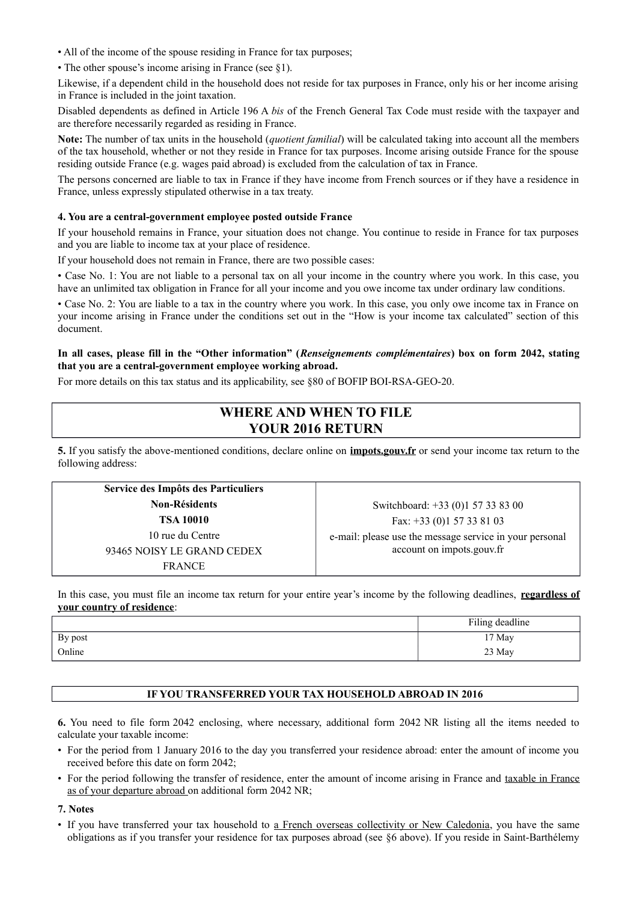- All of the income of the spouse residing in France for tax purposes;
- The other spouse's income arising in France (see §1).

Likewise, if a dependent child in the household does not reside for tax purposes in France, only his or her income arising in France is included in the joint taxation.

Disabled dependents as defined in Article 196 A *bis* of the French General Tax Code must reside with the taxpayer and are therefore necessarily regarded as residing in France.

**Note:** The number of tax units in the household (*quotient familial*) will be calculated taking into account all the members of the tax household, whether or not they reside in France for tax purposes. Income arising outside France for the spouse residing outside France (e.g. wages paid abroad) is excluded from the calculation of tax in France.

The persons concerned are liable to tax in France if they have income from French sources or if they have a residence in France, unless expressly stipulated otherwise in a tax treaty.

#### **4. You are a central-government employee posted outside France**

If your household remains in France, your situation does not change. You continue to reside in France for tax purposes and you are liable to income tax at your place of residence.

If your household does not remain in France, there are two possible cases:

• Case No. 1: You are not liable to a personal tax on all your income in the country where you work. In this case, you have an unlimited tax obligation in France for all your income and you owe income tax under ordinary law conditions.

• Case No. 2: You are liable to a tax in the country where you work. In this case, you only owe income tax in France on your income arising in France under the conditions set out in the "How is your income tax calculated" section of this document.

#### **In all cases, please fill in the "Other information" (***Renseignements complémentaires***) box on form 2042, stating that you are a central-government employee working abroad.**

For more details on this tax status and its applicability, see §80 of BOFIP BOI-RSA-GEO-20.

# **WHERE AND WHEN TO FILE YOUR 2016 RETURN**

**5.** If you satisfy the above-mentioned conditions, declare online on **impots.gouv.fr** or send your income tax return to the following address:

| Service des Impôts des Particuliers |                                                         |
|-------------------------------------|---------------------------------------------------------|
| <b>Non-Résidents</b>                | Switchboard: +33 (0)1 57 33 83 00                       |
| <b>TSA 10010</b>                    | Fax: $+33$ (0)1 57 33 81 03                             |
| 10 rue du Centre                    | e-mail: please use the message service in your personal |
| 93465 NOISY LE GRAND CEDEX          | account on impots.gouv.fr                               |
| <b>FRANCE</b>                       |                                                         |

In this case, you must file an income tax return for your entire year's income by the following deadlines, **regardless of your country of residence**:

|         | Filing deadline |
|---------|-----------------|
| By post | 17 May          |
| Online  | 23 May          |

#### **IF YOU TRANSFERRED YOUR TAX HOUSEHOLD ABROAD IN 2016**

**6.** You need to file form 2042 enclosing, where necessary, additional form 2042 NR listing all the items needed to calculate your taxable income:

- For the period from 1 January 2016 to the day you transferred your residence abroad: enter the amount of income you received before this date on form 2042;
- For the period following the transfer of residence, enter the amount of income arising in France and taxable in France as of your departure abroad on additional form 2042 NR;

**7. Notes**

• If you have transferred your tax household to a French overseas collectivity or New Caledonia, you have the same obligations as if you transfer your residence for tax purposes abroad (see §6 above). If you reside in Saint-Barthélemy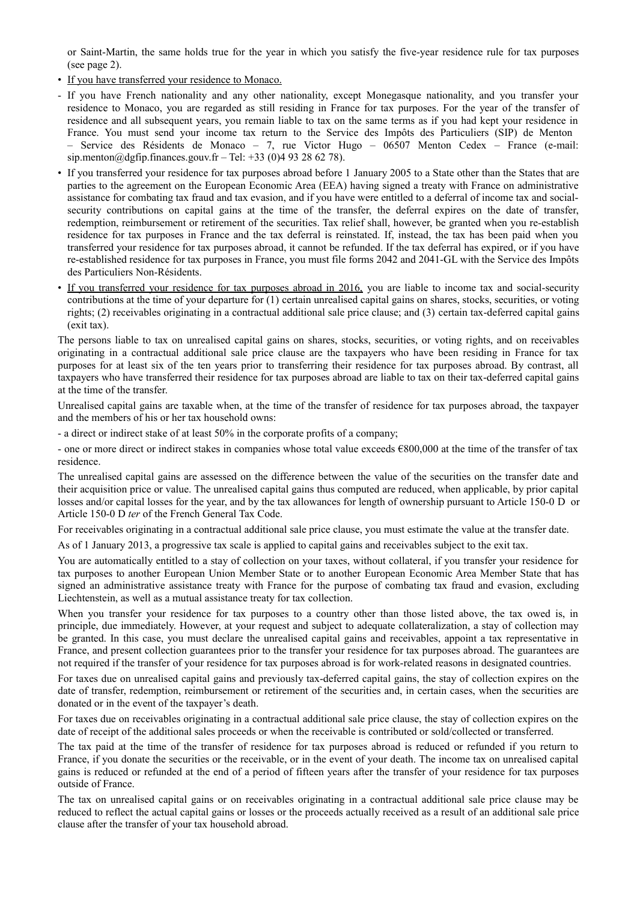or Saint-Martin, the same holds true for the year in which you satisfy the five-year residence rule for tax purposes (see page 2).

- If you have transferred your residence to Monaco.
- If you have French nationality and any other nationality, except Monegasque nationality, and you transfer your residence to Monaco, you are regarded as still residing in France for tax purposes. For the year of the transfer of residence and all subsequent years, you remain liable to tax on the same terms as if you had kept your residence in France. You must send your income tax return to the Service des Impôts des Particuliers (SIP) de Menton – Service des Résidents de Monaco – 7, rue Victor Hugo – 06507 Menton Cedex – France (e-mail: sip.menton@dgfip.finances.gouv.fr – Tel: +33 (0)4 93 28 62 78).
- If you transferred your residence for tax purposes abroad before 1 January 2005 to a State other than the States that are parties to the agreement on the European Economic Area (EEA) having signed a treaty with France on administrative assistance for combating tax fraud and tax evasion, and if you have were entitled to a deferral of income tax and socialsecurity contributions on capital gains at the time of the transfer, the deferral expires on the date of transfer, redemption, reimbursement or retirement of the securities. Tax relief shall, however, be granted when you re-establish residence for tax purposes in France and the tax deferral is reinstated. If, instead, the tax has been paid when you transferred your residence for tax purposes abroad, it cannot be refunded. If the tax deferral has expired, or if you have re-established residence for tax purposes in France, you must file forms 2042 and 2041-GL with the Service des Impôts des Particuliers Non-Résidents.
- If you transferred your residence for tax purposes abroad in 2016, you are liable to income tax and social-security contributions at the time of your departure for (1) certain unrealised capital gains on shares, stocks, securities, or voting rights; (2) receivables originating in a contractual additional sale price clause; and (3) certain tax-deferred capital gains (exit tax).

The persons liable to tax on unrealised capital gains on shares, stocks, securities, or voting rights, and on receivables originating in a contractual additional sale price clause are the taxpayers who have been residing in France for tax purposes for at least six of the ten years prior to transferring their residence for tax purposes abroad. By contrast, all taxpayers who have transferred their residence for tax purposes abroad are liable to tax on their tax-deferred capital gains at the time of the transfer.

Unrealised capital gains are taxable when, at the time of the transfer of residence for tax purposes abroad, the taxpayer and the members of his or her tax household owns:

- a direct or indirect stake of at least 50% in the corporate profits of a company;

- one or more direct or indirect stakes in companies whose total value exceeds €800,000 at the time of the transfer of tax residence.

The unrealised capital gains are assessed on the difference between the value of the securities on the transfer date and their acquisition price or value. The unrealised capital gains thus computed are reduced, when applicable, by prior capital losses and/or capital losses for the year, and by the tax allowances for length of ownership pursuant to Article 150-0 D or Article 150-0 D *ter* of the French General Tax Code.

For receivables originating in a contractual additional sale price clause, you must estimate the value at the transfer date.

As of 1 January 2013, a progressive tax scale is applied to capital gains and receivables subject to the exit tax.

You are automatically entitled to a stay of collection on your taxes, without collateral, if you transfer your residence for tax purposes to another European Union Member State or to another European Economic Area Member State that has signed an administrative assistance treaty with France for the purpose of combating tax fraud and evasion, excluding Liechtenstein, as well as a mutual assistance treaty for tax collection.

When you transfer your residence for tax purposes to a country other than those listed above, the tax owed is, in principle, due immediately. However, at your request and subject to adequate collateralization, a stay of collection may be granted. In this case, you must declare the unrealised capital gains and receivables, appoint a tax representative in France, and present collection guarantees prior to the transfer your residence for tax purposes abroad. The guarantees are not required if the transfer of your residence for tax purposes abroad is for work-related reasons in designated countries.

For taxes due on unrealised capital gains and previously tax-deferred capital gains, the stay of collection expires on the date of transfer, redemption, reimbursement or retirement of the securities and, in certain cases, when the securities are donated or in the event of the taxpayer's death.

For taxes due on receivables originating in a contractual additional sale price clause, the stay of collection expires on the date of receipt of the additional sales proceeds or when the receivable is contributed or sold/collected or transferred.

The tax paid at the time of the transfer of residence for tax purposes abroad is reduced or refunded if you return to France, if you donate the securities or the receivable, or in the event of your death. The income tax on unrealised capital gains is reduced or refunded at the end of a period of fifteen years after the transfer of your residence for tax purposes outside of France.

The tax on unrealised capital gains or on receivables originating in a contractual additional sale price clause may be reduced to reflect the actual capital gains or losses or the proceeds actually received as a result of an additional sale price clause after the transfer of your tax household abroad.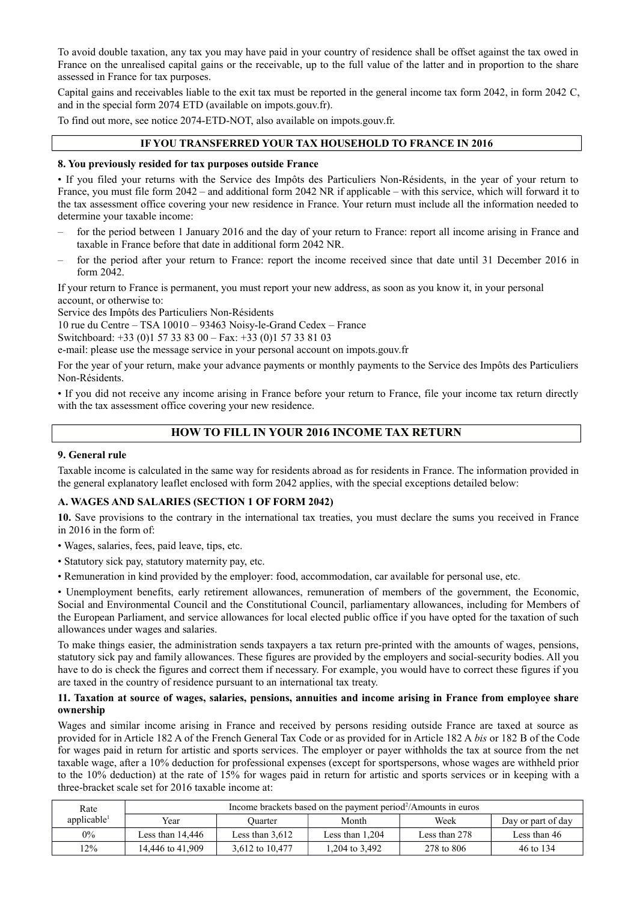To avoid double taxation, any tax you may have paid in your country of residence shall be offset against the tax owed in France on the unrealised capital gains or the receivable, up to the full value of the latter and in proportion to the share assessed in France for tax purposes.

Capital gains and receivables liable to the exit tax must be reported in the general income tax form 2042, in form 2042 C, and in the special form 2074 ETD (available on impots.gouv.fr).

To find out more, see notice 2074-ETD-NOT, also available on impots.gouv.fr.

# **IF YOU TRANSFERRED YOUR TAX HOUSEHOLD TO FRANCE IN 2016**

#### **8. You previously resided for tax purposes outside France**

• If you filed your returns with the Service des Impôts des Particuliers Non-Résidents, in the year of your return to France, you must file form 2042 – and additional form 2042 NR if applicable – with this service, which will forward it to the tax assessment office covering your new residence in France. Your return must include all the information needed to determine your taxable income:

- for the period between 1 January 2016 and the day of your return to France: report all income arising in France and taxable in France before that date in additional form 2042 NR.
- for the period after your return to France: report the income received since that date until 31 December 2016 in form 2042.

If your return to France is permanent, you must report your new address, as soon as you know it, in your personal account, or otherwise to:

Service des Impôts des Particuliers Non-Résidents

10 rue du Centre – TSA 10010 – 93463 Noisy-le-Grand Cedex – France

Switchboard: +33 (0)1 57 33 83 00 – Fax: +33 (0)1 57 33 81 03

e-mail: please use the message service in your personal account on impots.gouv.fr

For the year of your return, make your advance payments or monthly payments to the Service des Impôts des Particuliers Non-Résidents.

• If you did not receive any income arising in France before your return to France, file your income tax return directly with the tax assessment office covering your new residence.

# **HOW TO FILL IN YOUR 2016 INCOME TAX RETURN**

# **9. General rule**

Taxable income is calculated in the same way for residents abroad as for residents in France. The information provided in the general explanatory leaflet enclosed with form 2042 applies, with the special exceptions detailed below:

#### **A. WAGES AND SALARIES (SECTION 1 OF FORM 2042)**

**10.** Save provisions to the contrary in the international tax treaties, you must declare the sums you received in France in 2016 in the form of:

- Wages, salaries, fees, paid leave, tips, etc.
- Statutory sick pay, statutory maternity pay, etc.
- Remuneration in kind provided by the employer: food, accommodation, car available for personal use, etc.

• Unemployment benefits, early retirement allowances, remuneration of members of the government, the Economic, Social and Environmental Council and the Constitutional Council, parliamentary allowances, including for Members of the European Parliament, and service allowances for local elected public office if you have opted for the taxation of such allowances under wages and salaries.

To make things easier, the administration sends taxpayers a tax return pre-printed with the amounts of wages, pensions, statutory sick pay and family allowances. These figures are provided by the employers and social-security bodies. All you have to do is check the figures and correct them if necessary. For example, you would have to correct these figures if you are taxed in the country of residence pursuant to an international tax treaty.

#### **11. Taxation at source of wages, salaries, pensions, annuities and income arising in France from employee share ownership**

Wages and similar income arising in France and received by persons residing outside France are taxed at source as provided for in Article 182 A of the French General Tax Code or as provided for in Article 182 A *bis* or 182 B of the Code for wages paid in return for artistic and sports services. The employer or payer withholds the tax at source from the net taxable wage, after a 10% deduction for professional expenses (except for sportspersons, whose wages are withheld prior to the 10% deduction) at the rate of 15% for wages paid in return for artistic and sports services or in keeping with a three-bracket scale set for 2016 taxable income at:

| Rate                    | Income brackets based on the payment period <sup>2</sup> /Amounts in euros |                   |                   |               |              |  |  |  |  |  |
|-------------------------|----------------------------------------------------------------------------|-------------------|-------------------|---------------|--------------|--|--|--|--|--|
| applicable <sup>1</sup> | Year                                                                       | Ouarter           | Month             | Week          |              |  |  |  |  |  |
| 0%                      | Less than 14.446                                                           | Less than $3,612$ | Less than $1,204$ | Less than 278 | Less than 46 |  |  |  |  |  |
| $12\%$                  | 14.446 to 41.909                                                           | 3,612 to 10,477   | 1,204 to 3,492    | 278 to 806    | 46 to 134    |  |  |  |  |  |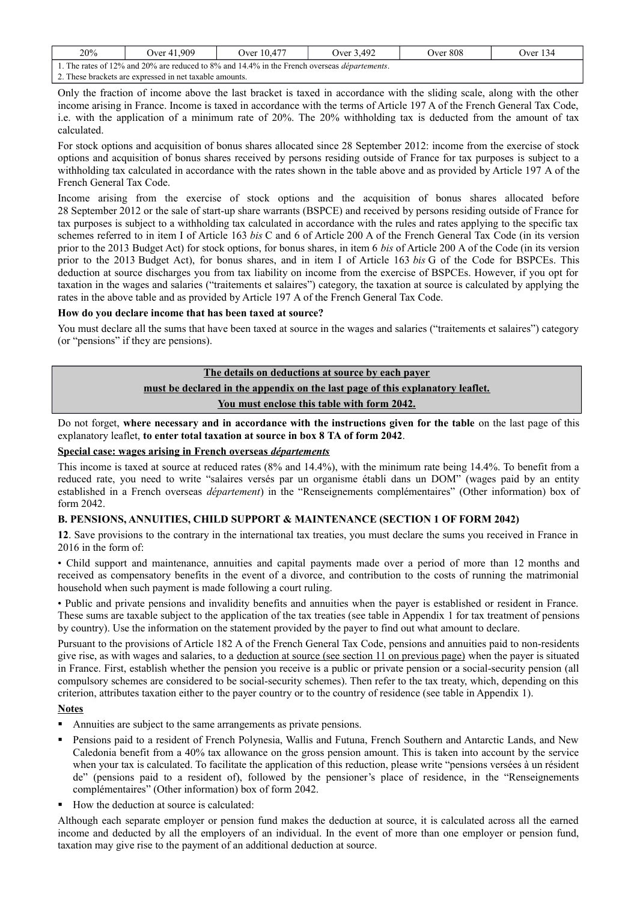| 20%                                                                                                  | Over 41.909                                             | Over 10.477 | Over 3.492 | Over 808 | Over $134$ |  |  |  |  |  |
|------------------------------------------------------------------------------------------------------|---------------------------------------------------------|-------------|------------|----------|------------|--|--|--|--|--|
| 1. The rates of 12% and 20% are reduced to 8% and 14.4% in the French overseas <i>départements</i> . |                                                         |             |            |          |            |  |  |  |  |  |
|                                                                                                      | 2. These brackets are expressed in net taxable amounts. |             |            |          |            |  |  |  |  |  |

Only the fraction of income above the last bracket is taxed in accordance with the sliding scale, along with the other income arising in France. Income is taxed in accordance with the terms of Article 197 A of the French General Tax Code, i.e. with the application of a minimum rate of 20%. The 20% withholding tax is deducted from the amount of tax calculated.

For stock options and acquisition of bonus shares allocated since 28 September 2012: income from the exercise of stock options and acquisition of bonus shares received by persons residing outside of France for tax purposes is subject to a withholding tax calculated in accordance with the rates shown in the table above and as provided by Article 197 A of the French General Tax Code.

Income arising from the exercise of stock options and the acquisition of bonus shares allocated before 28 September 2012 or the sale of start-up share warrants (BSPCE) and received by persons residing outside of France for tax purposes is subject to a withholding tax calculated in accordance with the rules and rates applying to the specific tax schemes referred to in item I of Article 163 *bis* C and 6 of Article 200 A of the French General Tax Code (in its version prior to the 2013 Budget Act) for stock options, for bonus shares, in item 6 *bis* of Article 200 A of the Code (in its version prior to the 2013 Budget Act), for bonus shares, and in item I of Article 163 *bis* G of the Code for BSPCEs. This deduction at source discharges you from tax liability on income from the exercise of BSPCEs. However, if you opt for taxation in the wages and salaries ("traitements et salaires") category, the taxation at source is calculated by applying the rates in the above table and as provided by Article 197 A of the French General Tax Code.

# **How do you declare income that has been taxed at source?**

You must declare all the sums that have been taxed at source in the wages and salaries ("traitements et salaires") category (or "pensions" if they are pensions).

# **The details on deductions at source by each payer**

# **must be declared in the appendix on the last page of this explanatory leaflet.**

**You must enclose this table with form 2042.**

Do not forget, **where necessary and in accordance with the instructions given for the table** on the last page of this explanatory leaflet, **to enter total taxation at source in box 8 TA of form 2042**.

#### **Special case: wages arising in French overseas** *départements*

This income is taxed at source at reduced rates (8% and 14.4%), with the minimum rate being 14.4%. To benefit from a reduced rate, you need to write "salaires versés par un organisme établi dans un DOM" (wages paid by an entity established in a French overseas *département*) in the "Renseignements complémentaires" (Other information) box of form 2042.

#### **B. PENSIONS, ANNUITIES, CHILD SUPPORT & MAINTENANCE (SECTION 1 OF FORM 2042)**

**12**. Save provisions to the contrary in the international tax treaties, you must declare the sums you received in France in 2016 in the form of:

• Child support and maintenance, annuities and capital payments made over a period of more than 12 months and received as compensatory benefits in the event of a divorce, and contribution to the costs of running the matrimonial household when such payment is made following a court ruling.

• Public and private pensions and invalidity benefits and annuities when the payer is established or resident in France. These sums are taxable subject to the application of the tax treaties (see table in Appendix 1 for tax treatment of pensions by country). Use the information on the statement provided by the payer to find out what amount to declare.

Pursuant to the provisions of Article 182 A of the French General Tax Code, pensions and annuities paid to non-residents give rise, as with wages and salaries, to a deduction at source (see section 11 on previous page) when the payer is situated in France. First, establish whether the pension you receive is a public or private pension or a social-security pension (all compulsory schemes are considered to be social-security schemes). Then refer to the tax treaty, which, depending on this criterion, attributes taxation either to the payer country or to the country of residence (see table in Appendix 1).

#### **Notes**

- Annuities are subject to the same arrangements as private pensions.
- Pensions paid to a resident of French Polynesia, Wallis and Futuna, French Southern and Antarctic Lands, and New Caledonia benefit from a 40% tax allowance on the gross pension amount. This is taken into account by the service when your tax is calculated. To facilitate the application of this reduction, please write "pensions versées à un résident de" (pensions paid to a resident of), followed by the pensioner's place of residence, in the "Renseignements complémentaires" (Other information) box of form 2042.
- How the deduction at source is calculated:

Although each separate employer or pension fund makes the deduction at source, it is calculated across all the earned income and deducted by all the employers of an individual. In the event of more than one employer or pension fund, taxation may give rise to the payment of an additional deduction at source.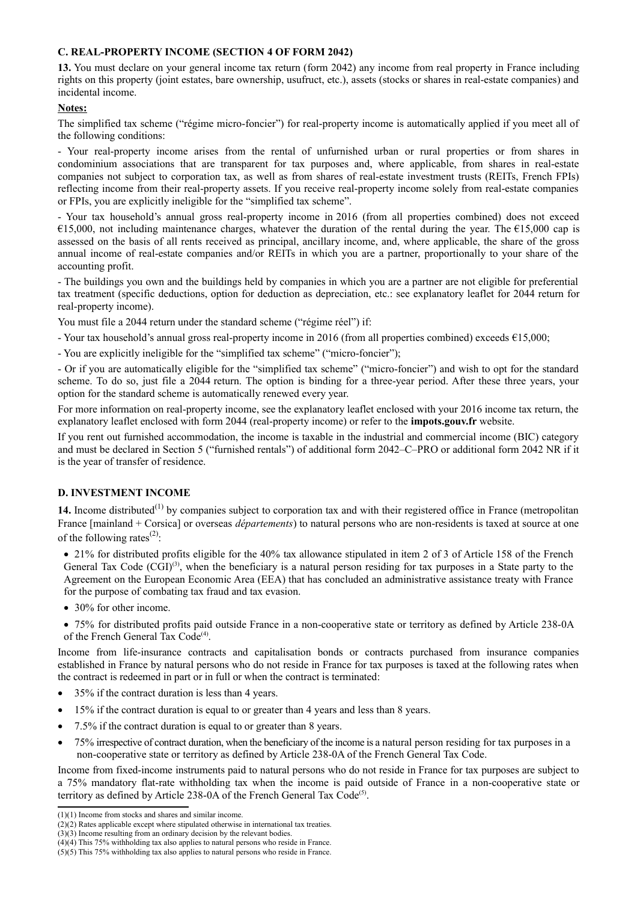# **C. REAL-PROPERTY INCOME (SECTION 4 OF FORM 2042)**

**13.** You must declare on your general income tax return (form 2042) any income from real property in France including rights on this property (joint estates, bare ownership, usufruct, etc.), assets (stocks or shares in real-estate companies) and incidental income.

#### **Notes:**

The simplified tax scheme ("régime micro-foncier") for real-property income is automatically applied if you meet all of the following conditions:

- Your real-property income arises from the rental of unfurnished urban or rural properties or from shares in condominium associations that are transparent for tax purposes and, where applicable, from shares in real-estate companies not subject to corporation tax, as well as from shares of real-estate investment trusts (REITs, French FPIs) reflecting income from their real-property assets. If you receive real-property income solely from real-estate companies or FPIs, you are explicitly ineligible for the "simplified tax scheme".

- Your tax household's annual gross real-property income in 2016 (from all properties combined) does not exceed €15,000, not including maintenance charges, whatever the duration of the rental during the year. The €15,000 cap is assessed on the basis of all rents received as principal, ancillary income, and, where applicable, the share of the gross annual income of real-estate companies and/or REITs in which you are a partner, proportionally to your share of the accounting profit.

- The buildings you own and the buildings held by companies in which you are a partner are not eligible for preferential tax treatment (specific deductions, option for deduction as depreciation, etc.: see explanatory leaflet for 2044 return for real-property income).

You must file a 2044 return under the standard scheme ("régime réel") if:

- Your tax household's annual gross real-property income in 2016 (from all properties combined) exceeds €15,000;

- You are explicitly ineligible for the "simplified tax scheme" ("micro-foncier");

- Or if you are automatically eligible for the "simplified tax scheme" ("micro-foncier") and wish to opt for the standard scheme. To do so, just file a 2044 return. The option is binding for a three-year period. After these three years, your option for the standard scheme is automatically renewed every year.

For more information on real-property income, see the explanatory leaflet enclosed with your 2016 income tax return, the explanatory leaflet enclosed with form 2044 (real-property income) or refer to the **impots.gouv.fr** website.

If you rent out furnished accommodation, the income is taxable in the industrial and commercial income (BIC) category and must be declared in Section 5 ("furnished rentals") of additional form 2042–C–PRO or additional form 2042 NR if it is the year of transfer of residence.

#### **D. INVESTMENT INCOME**

14. Income distributed<sup>[\(1\)](#page-6-0)</sup> by companies subject to corporation tax and with their registered office in France (metropolitan France [mainland + Corsica] or overseas *départements*) to natural persons who are non-residents is taxed at source at one of the following rates<sup>[\(2\)](#page-6-1)</sup>:

• 21% for distributed profits eligible for the 40% tax allowance stipulated in item 2 of 3 of Article 158 of the French General Tax Code  $(CGI)^{(3)}$  $(CGI)^{(3)}$  $(CGI)^{(3)}$ , when the beneficiary is a natural person residing for tax purposes in a State party to the Agreement on the European Economic Area (EEA) that has concluded an administrative assistance treaty with France for the purpose of combating tax fraud and tax evasion.

• 30% for other income.

 75% for distributed profits paid outside France in a non-cooperative state or territory as defined by Article 238-0A of the French General Tax Code<sup>[\(4\)](#page-6-3)</sup>.

Income from life-insurance contracts and capitalisation bonds or contracts purchased from insurance companies established in France by natural persons who do not reside in France for tax purposes is taxed at the following rates when the contract is redeemed in part or in full or when the contract is terminated:

- 35% if the contract duration is less than 4 years.
- 15% if the contract duration is equal to or greater than 4 years and less than 8 years.
- 7.5% if the contract duration is equal to or greater than 8 years.
- 75% irrespective of contract duration, when the beneficiary of the income is a natural person residing for tax purposes in a non-cooperative state or territory as defined by Article 238-0A of the French General Tax Code.

Income from fixed-income instruments paid to natural persons who do not reside in France for tax purposes are subject to a 75% mandatory flat-rate withholding tax when the income is paid outside of France in a non-cooperative state or territory as defined by Article  $238$ -0A of the French General Tax Code<sup>[\(5\)](#page-6-4)</sup>.

<span id="page-6-0"></span><sup>(1)(1)</sup> Income from stocks and shares and similar income.

<span id="page-6-1"></span><sup>(2)(2)</sup> Rates applicable except where stipulated otherwise in international tax treaties.

<span id="page-6-2"></span><sup>(3)(3)</sup> Income resulting from an ordinary decision by the relevant bodies.

<span id="page-6-3"></span><sup>(4)(4)</sup> This 75% withholding tax also applies to natural persons who reside in France.

<span id="page-6-4"></span><sup>(5)(5)</sup> This 75% withholding tax also applies to natural persons who reside in France.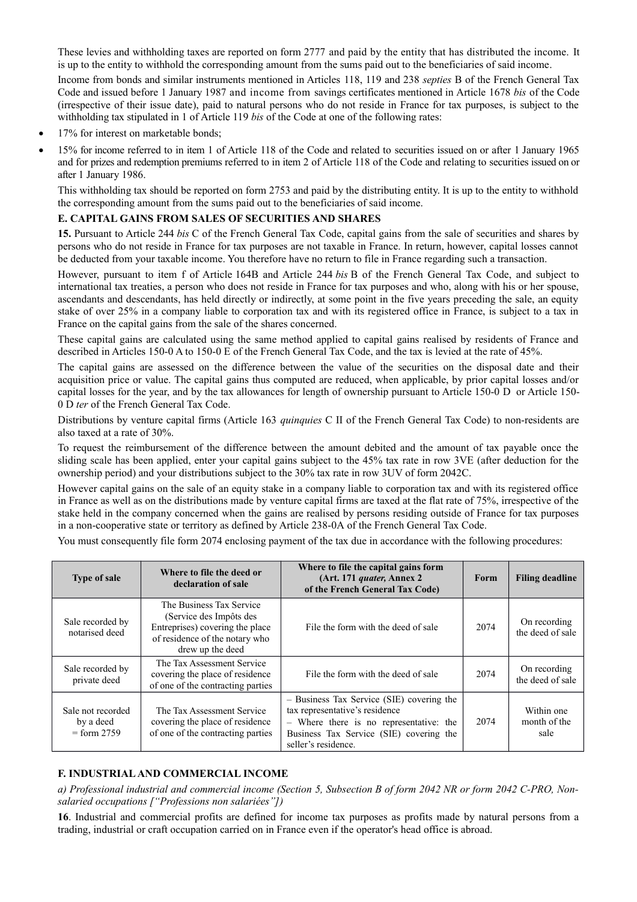These levies and withholding taxes are reported on form 2777 and paid by the entity that has distributed the income. It is up to the entity to withhold the corresponding amount from the sums paid out to the beneficiaries of said income.

Income from bonds and similar instruments mentioned in Articles 118, 119 and 238 *septies* B of the French General Tax Code and issued before 1 January 1987 and income from savings certificates mentioned in Article 1678 *bis* of the Code (irrespective of their issue date), paid to natural persons who do not reside in France for tax purposes, is subject to the withholding tax stipulated in 1 of Article 119 *bis* of the Code at one of the following rates:

- 17% for interest on marketable bonds;
- 15% for income referred to in item 1 of Article 118 of the Code and related to securities issued on or after 1 January 1965 and for prizes and redemption premiums referred to in item 2 of Article 118 of the Code and relating to securities issued on or after 1 January 1986.

This withholding tax should be reported on form 2753 and paid by the distributing entity. It is up to the entity to withhold the corresponding amount from the sums paid out to the beneficiaries of said income.

# **E. CAPITAL GAINS FROM SALES OF SECURITIES AND SHARES**

**15.** Pursuant to Article 244 *bis* C of the French General Tax Code, capital gains from the sale of securities and shares by persons who do not reside in France for tax purposes are not taxable in France. In return, however, capital losses cannot be deducted from your taxable income. You therefore have no return to file in France regarding such a transaction.

However, pursuant to item f of Article 164B and Article 244 *bis* B of the French General Tax Code, and subject to international tax treaties, a person who does not reside in France for tax purposes and who, along with his or her spouse, ascendants and descendants, has held directly or indirectly, at some point in the five years preceding the sale, an equity stake of over 25% in a company liable to corporation tax and with its registered office in France, is subject to a tax in France on the capital gains from the sale of the shares concerned.

These capital gains are calculated using the same method applied to capital gains realised by residents of France and described in Articles 150-0 A to 150-0 E of the French General Tax Code, and the tax is levied at the rate of 45%.

The capital gains are assessed on the difference between the value of the securities on the disposal date and their acquisition price or value. The capital gains thus computed are reduced, when applicable, by prior capital losses and/or capital losses for the year, and by the tax allowances for length of ownership pursuant to Article 150-0 D or Article 150- 0 D *ter* of the French General Tax Code.

Distributions by venture capital firms (Article 163 *quinquies* C II of the French General Tax Code) to non-residents are also taxed at a rate of 30%.

To request the reimbursement of the difference between the amount debited and the amount of tax payable once the sliding scale has been applied, enter your capital gains subject to the 45% tax rate in row 3VE (after deduction for the ownership period) and your distributions subject to the 30% tax rate in row 3UV of form 2042C.

However capital gains on the sale of an equity stake in a company liable to corporation tax and with its registered office in France as well as on the distributions made by venture capital firms are taxed at the flat rate of 75%, irrespective of the stake held in the company concerned when the gains are realised by persons residing outside of France for tax purposes in a non-cooperative state or territory as defined by Article 238-0A of the French General Tax Code.

You must consequently file form 2074 enclosing payment of the tax due in accordance with the following procedures:

| <b>Type of sale</b>                             | Where to file the deed or<br>declaration of sale                                                                                             | Where to file the capital gains form<br>(Art. 171 quater, Annex 2)<br>of the French General Tax Code)                                                                                    | Form | <b>Filing deadline</b>             |
|-------------------------------------------------|----------------------------------------------------------------------------------------------------------------------------------------------|------------------------------------------------------------------------------------------------------------------------------------------------------------------------------------------|------|------------------------------------|
| Sale recorded by<br>notarised deed              | The Business Tax Service<br>(Service des Impôts des<br>Entreprises) covering the place<br>of residence of the notary who<br>drew up the deed | File the form with the deed of sale                                                                                                                                                      | 2074 | On recording<br>the deed of sale   |
| Sale recorded by<br>private deed                | The Tax Assessment Service<br>covering the place of residence<br>of one of the contracting parties                                           | File the form with the deed of sale                                                                                                                                                      | 2074 | On recording<br>the deed of sale   |
| Sale not recorded<br>by a deed<br>$=$ form 2759 | The Tax Assessment Service<br>covering the place of residence<br>of one of the contracting parties                                           | - Business Tax Service (SIE) covering the<br>tax representative's residence<br>- Where there is no representative: the<br>Business Tax Service (SIE) covering the<br>seller's residence. | 2074 | Within one<br>month of the<br>sale |

# **F. INDUSTRIAL AND COMMERCIAL INCOME**

*a) Professional industrial and commercial income (Section 5, Subsection B of form 2042 NR or form 2042 C-PRO, Nonsalaried occupations ["Professions non salariées"])*

**16**. Industrial and commercial profits are defined for income tax purposes as profits made by natural persons from a trading, industrial or craft occupation carried on in France even if the operator's head office is abroad.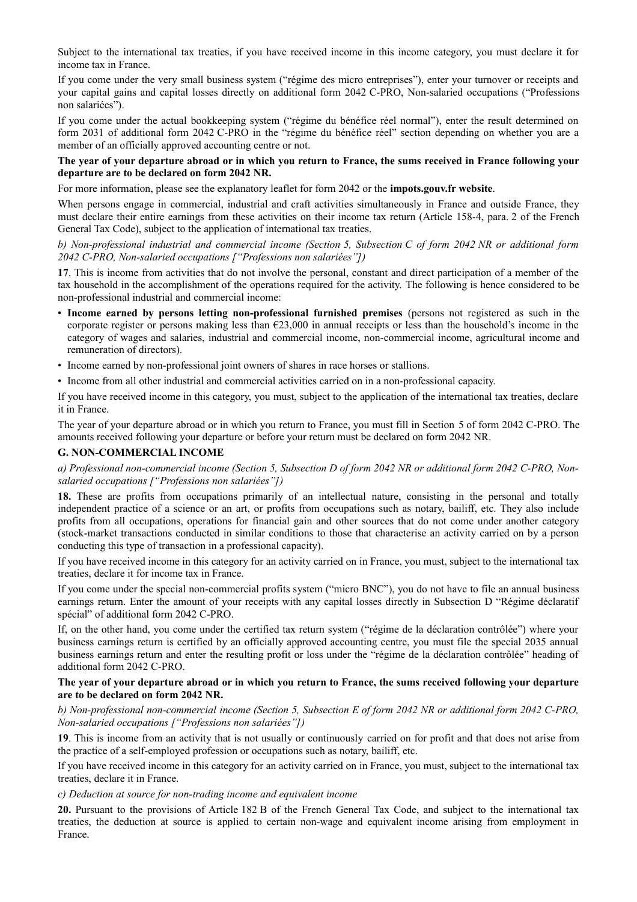Subject to the international tax treaties, if you have received income in this income category, you must declare it for income tax in France.

If you come under the very small business system ("régime des micro entreprises"), enter your turnover or receipts and your capital gains and capital losses directly on additional form 2042 C-PRO, Non-salaried occupations ("Professions non salariées").

If you come under the actual bookkeeping system ("régime du bénéfice réel normal"), enter the result determined on form 2031 of additional form 2042 C-PRO in the "régime du bénéfice réel" section depending on whether you are a member of an officially approved accounting centre or not.

# **The year of your departure abroad or in which you return to France, the sums received in France following your departure are to be declared on form 2042 NR.**

For more information, please see the explanatory leaflet for form 2042 or the **impots.gouv.fr website**.

When persons engage in commercial, industrial and craft activities simultaneously in France and outside France, they must declare their entire earnings from these activities on their income tax return (Article 158-4, para. 2 of the French General Tax Code), subject to the application of international tax treaties.

*b) Non-professional industrial and commercial income (Section 5, Subsection C of form 2042 NR or additional form 2042 C-PRO, Non-salaried occupations ["Professions non salariées"])*

**17**. This is income from activities that do not involve the personal, constant and direct participation of a member of the tax household in the accomplishment of the operations required for the activity. The following is hence considered to be non-professional industrial and commercial income:

- **Income earned by persons letting non-professional furnished premises** (persons not registered as such in the corporate register or persons making less than €23,000 in annual receipts or less than the household's income in the category of wages and salaries, industrial and commercial income, non-commercial income, agricultural income and remuneration of directors).
- Income earned by non-professional joint owners of shares in race horses or stallions.
- Income from all other industrial and commercial activities carried on in a non-professional capacity.

If you have received income in this category, you must, subject to the application of the international tax treaties, declare it in France.

The year of your departure abroad or in which you return to France, you must fill in Section 5 of form 2042 C-PRO. The amounts received following your departure or before your return must be declared on form 2042 NR.

# **G. NON-COMMERCIAL INCOME**

*a) Professional non-commercial income (Section 5, Subsection D of form 2042 NR or additional form 2042 C-PRO, Nonsalaried occupations ["Professions non salariées"])*

**18.** These are profits from occupations primarily of an intellectual nature, consisting in the personal and totally independent practice of a science or an art, or profits from occupations such as notary, bailiff, etc. They also include profits from all occupations, operations for financial gain and other sources that do not come under another category (stock-market transactions conducted in similar conditions to those that characterise an activity carried on by a person conducting this type of transaction in a professional capacity).

If you have received income in this category for an activity carried on in France, you must, subject to the international tax treaties, declare it for income tax in France.

If you come under the special non-commercial profits system ("micro BNC"), you do not have to file an annual business earnings return. Enter the amount of your receipts with any capital losses directly in Subsection D "Régime déclaratif spécial" of additional form 2042 C-PRO.

If, on the other hand, you come under the certified tax return system ("régime de la déclaration contrôlée") where your business earnings return is certified by an officially approved accounting centre, you must file the special 2035 annual business earnings return and enter the resulting profit or loss under the "régime de la déclaration contrôlée" heading of additional form 2042 C-PRO.

#### **The year of your departure abroad or in which you return to France, the sums received following your departure are to be declared on form 2042 NR.**

*b) Non-professional non-commercial income (Section 5, Subsection E of form 2042 NR or additional form 2042 C-PRO, Non-salaried occupations ["Professions non salariées"])*

**19**. This is income from an activity that is not usually or continuously carried on for profit and that does not arise from the practice of a self-employed profession or occupations such as notary, bailiff, etc.

If you have received income in this category for an activity carried on in France, you must, subject to the international tax treaties, declare it in France.

#### *c) Deduction at source for non-trading income and equivalent income*

**20.** Pursuant to the provisions of Article 182 B of the French General Tax Code, and subject to the international tax treaties, the deduction at source is applied to certain non-wage and equivalent income arising from employment in France.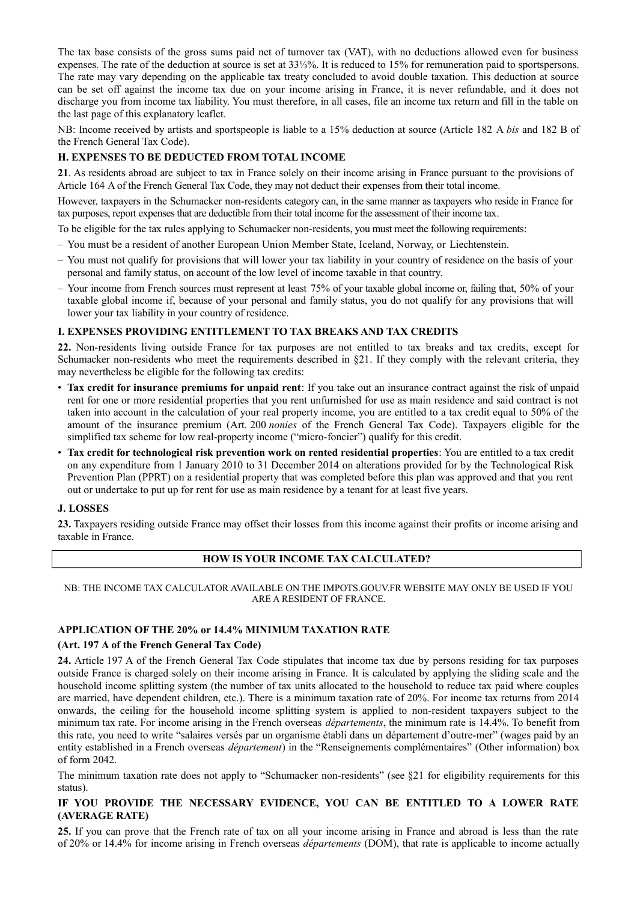The tax base consists of the gross sums paid net of turnover tax (VAT), with no deductions allowed even for business expenses. The rate of the deduction at source is set at 33⅓%. It is reduced to 15% for remuneration paid to sportspersons. The rate may vary depending on the applicable tax treaty concluded to avoid double taxation. This deduction at source can be set off against the income tax due on your income arising in France, it is never refundable, and it does not discharge you from income tax liability. You must therefore, in all cases, file an income tax return and fill in the table on the last page of this explanatory leaflet.

NB: Income received by artists and sportspeople is liable to a 15% deduction at source (Article 182 A *bis* and 182 B of the French General Tax Code).

# **H. EXPENSES TO BE DEDUCTED FROM TOTAL INCOME**

**21**. As residents abroad are subject to tax in France solely on their income arising in France pursuant to the provisions of Article 164 A of the French General Tax Code, they may not deduct their expenses from their total income.

However, taxpayers in the Schumacker non-residents category can, in the same manner as taxpayers who reside in France for tax purposes, report expenses that are deductible from their total income for the assessment of their income tax.

To be eligible for the tax rules applying to Schumacker non-residents, you must meet the following requirements:

- You must be a resident of another European Union Member State, Iceland, Norway, or Liechtenstein.
- You must not qualify for provisions that will lower your tax liability in your country of residence on the basis of your personal and family status, on account of the low level of income taxable in that country.
- Your income from French sources must represent at least 75% of your taxable global income or, failing that, 50% of your taxable global income if, because of your personal and family status, you do not qualify for any provisions that will lower your tax liability in your country of residence.

# **I. EXPENSES PROVIDING ENTITLEMENT TO TAX BREAKS AND TAX CREDITS**

**22.** Non-residents living outside France for tax purposes are not entitled to tax breaks and tax credits, except for Schumacker non-residents who meet the requirements described in §21. If they comply with the relevant criteria, they may nevertheless be eligible for the following tax credits:

- **Tax credit for insurance premiums for unpaid rent**: If you take out an insurance contract against the risk of unpaid rent for one or more residential properties that you rent unfurnished for use as main residence and said contract is not taken into account in the calculation of your real property income, you are entitled to a tax credit equal to 50% of the amount of the insurance premium (Art. 200 *nonies* of the French General Tax Code). Taxpayers eligible for the simplified tax scheme for low real-property income ("micro-foncier") qualify for this credit.
- **Tax credit for technological risk prevention work on rented residential properties**: You are entitled to a tax credit on any expenditure from 1 January 2010 to 31 December 2014 on alterations provided for by the Technological Risk Prevention Plan (PPRT) on a residential property that was completed before this plan was approved and that you rent out or undertake to put up for rent for use as main residence by a tenant for at least five years.

#### **J. LOSSES**

**23.** Taxpayers residing outside France may offset their losses from this income against their profits or income arising and taxable in France.

#### **HOW IS YOUR INCOME TAX CALCULATED?**

#### NB: THE INCOME TAX CALCULATOR AVAILABLE ON THE IMPOTS.GOUV.FR WEBSITE MAY ONLY BE USED IF YOU ARE A RESIDENT OF FRANCE.

#### **APPLICATION OF THE 20% or 14.4% MINIMUM TAXATION RATE**

#### **(Art. 197 A of the French General Tax Code)**

**24.** Article 197 A of the French General Tax Code stipulates that income tax due by persons residing for tax purposes outside France is charged solely on their income arising in France. It is calculated by applying the sliding scale and the household income splitting system (the number of tax units allocated to the household to reduce tax paid where couples are married, have dependent children, etc.). There is a minimum taxation rate of 20%. For income tax returns from 2014 onwards, the ceiling for the household income splitting system is applied to non-resident taxpayers subject to the minimum tax rate. For income arising in the French overseas *départements*, the minimum rate is 14.4%. To benefit from this rate, you need to write "salaires versés par un organisme établi dans un département d'outre-mer" (wages paid by an entity established in a French overseas *département*) in the "Renseignements complémentaires" (Other information) box of form 2042.

The minimum taxation rate does not apply to "Schumacker non-residents" (see §21 for eligibility requirements for this status).

# **IF YOU PROVIDE THE NECESSARY EVIDENCE, YOU CAN BE ENTITLED TO A LOWER RATE (AVERAGE RATE)**

**25.** If you can prove that the French rate of tax on all your income arising in France and abroad is less than the rate of 20% or 14.4% for income arising in French overseas *départements* (DOM), that rate is applicable to income actually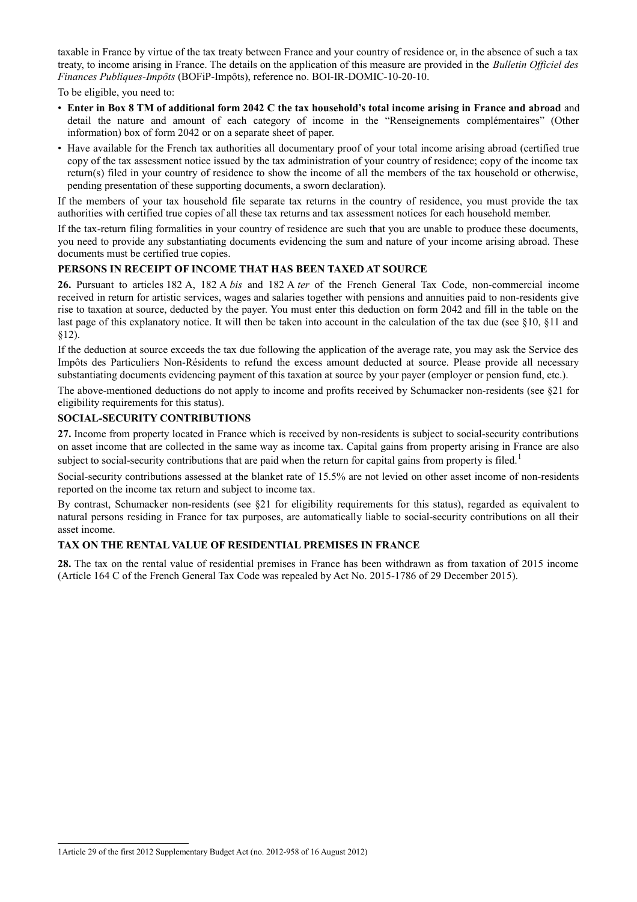taxable in France by virtue of the tax treaty between France and your country of residence or, in the absence of such a tax treaty, to income arising in France. The details on the application of this measure are provided in the *Bulletin Officiel des Finances Publiques-Impôts* (BOFiP-Impôts), reference no. BOI-IR-DOMIC-10-20-10.

To be eligible, you need to:

- **Enter in Box 8 TM of additional form 2042 C the tax household's total income arising in France and abroad** and detail the nature and amount of each category of income in the "Renseignements complémentaires" (Other information) box of form 2042 or on a separate sheet of paper.
- Have available for the French tax authorities all documentary proof of your total income arising abroad (certified true copy of the tax assessment notice issued by the tax administration of your country of residence; copy of the income tax return(s) filed in your country of residence to show the income of all the members of the tax household or otherwise, pending presentation of these supporting documents, a sworn declaration).

If the members of your tax household file separate tax returns in the country of residence, you must provide the tax authorities with certified true copies of all these tax returns and tax assessment notices for each household member.

If the tax-return filing formalities in your country of residence are such that you are unable to produce these documents, you need to provide any substantiating documents evidencing the sum and nature of your income arising abroad. These documents must be certified true copies.

# **PERSONS IN RECEIPT OF INCOME THAT HAS BEEN TAXED AT SOURCE**

**26.** Pursuant to articles 182 A, 182 A *bis* and 182 A *ter* of the French General Tax Code, non-commercial income received in return for artistic services, wages and salaries together with pensions and annuities paid to non-residents give rise to taxation at source, deducted by the payer. You must enter this deduction on form 2042 and fill in the table on the last page of this explanatory notice. It will then be taken into account in the calculation of the tax due (see §10, §11 and §12).

If the deduction at source exceeds the tax due following the application of the average rate, you may ask the Service des Impôts des Particuliers Non-Résidents to refund the excess amount deducted at source. Please provide all necessary substantiating documents evidencing payment of this taxation at source by your payer (employer or pension fund, etc.).

The above-mentioned deductions do not apply to income and profits received by Schumacker non-residents (see §21 for eligibility requirements for this status).

# **SOCIAL-SECURITY CONTRIBUTIONS**

**27.** Income from property located in France which is received by non-residents is subject to social-security contributions on asset income that are collected in the same way as income tax. Capital gains from property arising in France are also subject to social-security contributions that are paid when the return for capital gains from property is filed.<sup>[1](#page-10-0)</sup>

Social-security contributions assessed at the blanket rate of 15.5% are not levied on other asset income of non-residents reported on the income tax return and subject to income tax.

By contrast, Schumacker non-residents (see §21 for eligibility requirements for this status), regarded as equivalent to natural persons residing in France for tax purposes, are automatically liable to social-security contributions on all their asset income.

# **TAX ON THE RENTAL VALUE OF RESIDENTIAL PREMISES IN FRANCE**

**28.** The tax on the rental value of residential premises in France has been withdrawn as from taxation of 2015 income (Article 164 C of the French General Tax Code was repealed by Act No. 2015-1786 of 29 December 2015).

<span id="page-10-0"></span><sup>1</sup>Article 29 of the first 2012 Supplementary Budget Act (no. 2012-958 of 16 August 2012)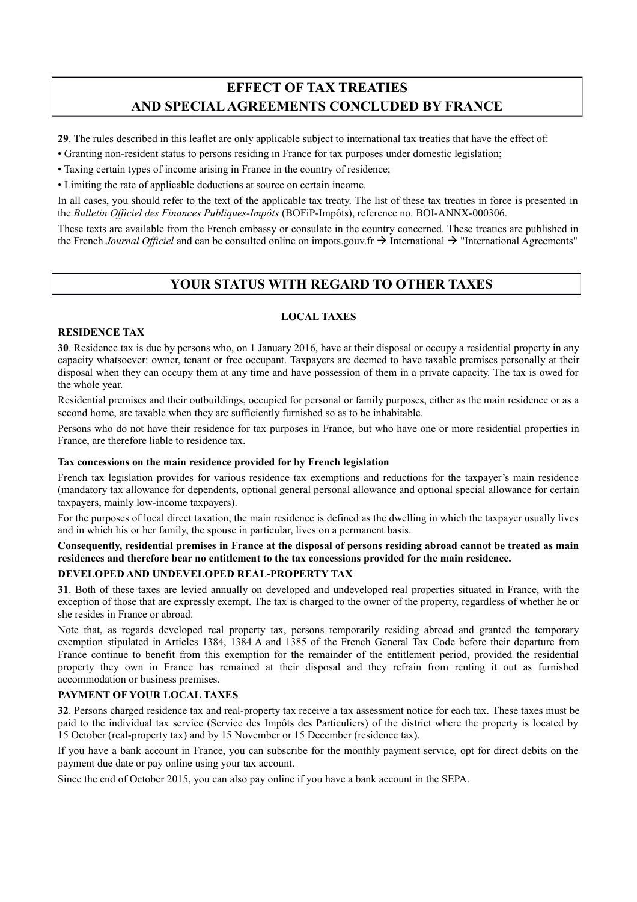# **EFFECT OF TAX TREATIES AND SPECIAL AGREEMENTS CONCLUDED BY FRANCE**

**29**. The rules described in this leaflet are only applicable subject to international tax treaties that have the effect of:

- Granting non-resident status to persons residing in France for tax purposes under domestic legislation;
- Taxing certain types of income arising in France in the country of residence;
- Limiting the rate of applicable deductions at source on certain income.

In all cases, you should refer to the text of the applicable tax treaty. The list of these tax treaties in force is presented in the *Bulletin Officiel des Finances Publiques-Impôts* (BOFiP-Impôts), reference no. BOI-ANNX-000306.

These texts are available from the French embassy or consulate in the country concerned. These treaties are published in the French *Journal Officiel* and can be consulted online on impots.gouv.fr  $\rightarrow$  International  $\rightarrow$  "International Agreements"

# **YOUR STATUS WITH REGARD TO OTHER TAXES**

# **LOCAL TAXES**

# **RESIDENCE TAX**

**30**. Residence tax is due by persons who, on 1 January 2016, have at their disposal or occupy a residential property in any capacity whatsoever: owner, tenant or free occupant. Taxpayers are deemed to have taxable premises personally at their disposal when they can occupy them at any time and have possession of them in a private capacity. The tax is owed for the whole year.

Residential premises and their outbuildings, occupied for personal or family purposes, either as the main residence or as a second home, are taxable when they are sufficiently furnished so as to be inhabitable.

Persons who do not have their residence for tax purposes in France, but who have one or more residential properties in France, are therefore liable to residence tax.

#### **Tax concessions on the main residence provided for by French legislation**

French tax legislation provides for various residence tax exemptions and reductions for the taxpayer's main residence (mandatory tax allowance for dependents, optional general personal allowance and optional special allowance for certain taxpayers, mainly low-income taxpayers).

For the purposes of local direct taxation, the main residence is defined as the dwelling in which the taxpayer usually lives and in which his or her family, the spouse in particular, lives on a permanent basis.

# **Consequently, residential premises in France at the disposal of persons residing abroad cannot be treated as main residences and therefore bear no entitlement to the tax concessions provided for the main residence.**

# **DEVELOPED AND UNDEVELOPED REAL-PROPERTY TAX**

**31**. Both of these taxes are levied annually on developed and undeveloped real properties situated in France, with the exception of those that are expressly exempt. The tax is charged to the owner of the property, regardless of whether he or she resides in France or abroad.

Note that, as regards developed real property tax, persons temporarily residing abroad and granted the temporary exemption stipulated in Articles 1384, 1384 A and 1385 of the French General Tax Code before their departure from France continue to benefit from this exemption for the remainder of the entitlement period, provided the residential property they own in France has remained at their disposal and they refrain from renting it out as furnished accommodation or business premises.

# **PAYMENT OF YOUR LOCAL TAXES**

**32**. Persons charged residence tax and real-property tax receive a tax assessment notice for each tax. These taxes must be paid to the individual tax service (Service des Impôts des Particuliers) of the district where the property is located by 15 October (real-property tax) and by 15 November or 15 December (residence tax).

If you have a bank account in France, you can subscribe for the monthly payment service, opt for direct debits on the payment due date or pay online using your tax account.

Since the end of October 2015, you can also pay online if you have a bank account in the SEPA.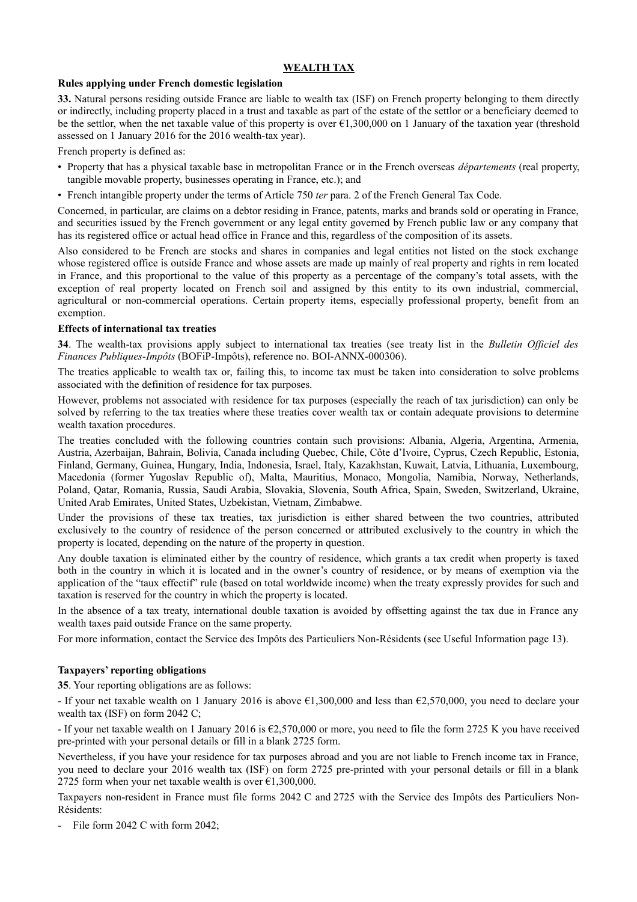# **WEALTH TAX**

#### **Rules applying under French domestic legislation**

**33.** Natural persons residing outside France are liable to wealth tax (ISF) on French property belonging to them directly or indirectly, including property placed in a trust and taxable as part of the estate of the settlor or a beneficiary deemed to be the settlor, when the net taxable value of this property is over  $\epsilon$ 1,300,000 on 1 January of the taxation year (threshold assessed on 1 January 2016 for the 2016 wealth-tax year).

French property is defined as:

- Property that has a physical taxable base in metropolitan France or in the French overseas *départements* (real property, tangible movable property, businesses operating in France, etc.); and
- French intangible property under the terms of Article 750 *ter* para. 2 of the French General Tax Code.

Concerned, in particular, are claims on a debtor residing in France, patents, marks and brands sold or operating in France, and securities issued by the French government or any legal entity governed by French public law or any company that has its registered office or actual head office in France and this, regardless of the composition of its assets.

Also considered to be French are stocks and shares in companies and legal entities not listed on the stock exchange whose registered office is outside France and whose assets are made up mainly of real property and rights in rem located in France, and this proportional to the value of this property as a percentage of the company's total assets, with the exception of real property located on French soil and assigned by this entity to its own industrial, commercial, agricultural or non-commercial operations. Certain property items, especially professional property, benefit from an exemption.

# **Effects of international tax treaties**

**34**. The wealth-tax provisions apply subject to international tax treaties (see treaty list in the *Bulletin Officiel des Finances Publiques-Impôts* (BOFiP-Impôts), reference no. BOI-ANNX-000306).

The treaties applicable to wealth tax or, failing this, to income tax must be taken into consideration to solve problems associated with the definition of residence for tax purposes.

However, problems not associated with residence for tax purposes (especially the reach of tax jurisdiction) can only be solved by referring to the tax treaties where these treaties cover wealth tax or contain adequate provisions to determine wealth taxation procedures.

The treaties concluded with the following countries contain such provisions: Albania, Algeria, Argentina, Armenia, Austria, Azerbaijan, Bahrain, Bolivia, Canada including Quebec, Chile, Côte d'Ivoire, Cyprus, Czech Republic, Estonia, Finland, Germany, Guinea, Hungary, India, Indonesia, Israel, Italy, Kazakhstan, Kuwait, Latvia, Lithuania, Luxembourg, Macedonia (former Yugoslav Republic of), Malta, Mauritius, Monaco, Mongolia, Namibia, Norway, Netherlands, Poland, Qatar, Romania, Russia, Saudi Arabia, Slovakia, Slovenia, South Africa, Spain, Sweden, Switzerland, Ukraine, United Arab Emirates, United States, Uzbekistan, Vietnam, Zimbabwe.

Under the provisions of these tax treaties, tax jurisdiction is either shared between the two countries, attributed exclusively to the country of residence of the person concerned or attributed exclusively to the country in which the property is located, depending on the nature of the property in question.

Any double taxation is eliminated either by the country of residence, which grants a tax credit when property is taxed both in the country in which it is located and in the owner's country of residence, or by means of exemption via the application of the "taux effectif" rule (based on total worldwide income) when the treaty expressly provides for such and taxation is reserved for the country in which the property is located.

In the absence of a tax treaty, international double taxation is avoided by offsetting against the tax due in France any wealth taxes paid outside France on the same property.

For more information, contact the Service des Impôts des Particuliers Non-Résidents (see Useful Information page 13).

# **Taxpayers' reporting obligations**

**35**. Your reporting obligations are as follows:

- If your net taxable wealth on 1 January 2016 is above  $\epsilon$ 1,300,000 and less than  $\epsilon$ 2,570,000, you need to declare your wealth tax (ISF) on form 2042 C;

- If your net taxable wealth on 1 January 2016 is €2,570,000 or more, you need to file the form 2725 K you have received pre-printed with your personal details or fill in a blank 2725 form.

Nevertheless, if you have your residence for tax purposes abroad and you are not liable to French income tax in France, you need to declare your 2016 wealth tax (ISF) on form 2725 pre-printed with your personal details or fill in a blank 2725 form when your net taxable wealth is over  $\epsilon$ 1,300,000.

Taxpayers non-resident in France must file forms 2042 C and 2725 with the Service des Impôts des Particuliers Non-Résidents:

- File form 2042 C with form 2042;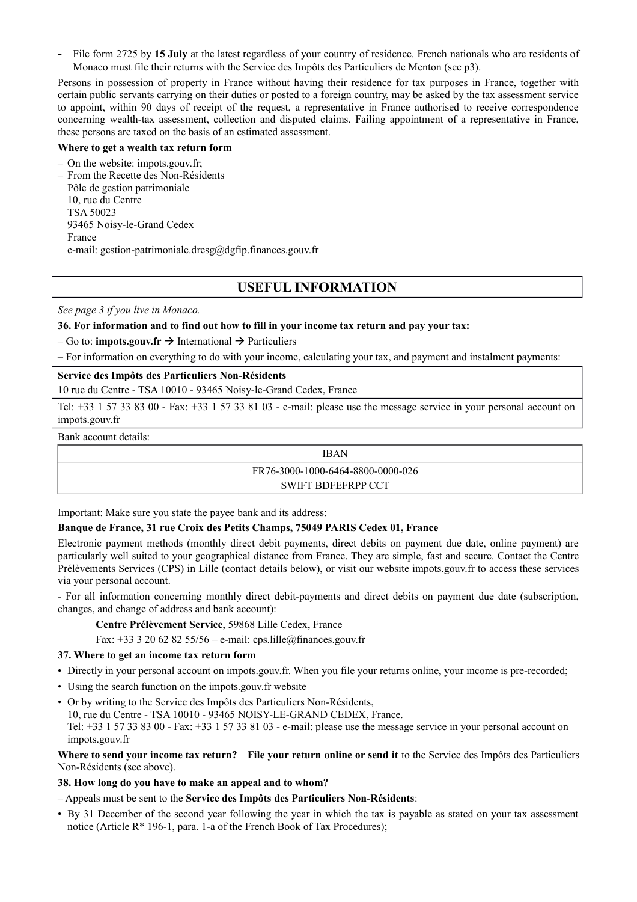File form 2725 by **15 July** at the latest regardless of your country of residence. French nationals who are residents of Monaco must file their returns with the Service des Impôts des Particuliers de Menton (see p3).

Persons in possession of property in France without having their residence for tax purposes in France, together with certain public servants carrying on their duties or posted to a foreign country, may be asked by the tax assessment service to appoint, within 90 days of receipt of the request, a representative in France authorised to receive correspondence concerning wealth-tax assessment, collection and disputed claims. Failing appointment of a representative in France, these persons are taxed on the basis of an estimated assessment.

#### **Where to get a wealth tax return form**

– On the website: impots.gouv.fr;

– From the Recette des Non-Résidents Pôle de gestion patrimoniale 10, rue du Centre TSA 50023 93465 Noisy-le-Grand Cedex France e-mail: gestion-patrimoniale.dresg@dgfip.finances.gouv.fr

# **USEFUL INFORMATION**

*See page 3 if you live in Monaco.*

# **36. For information and to find out how to fill in your income tax return and pay your tax:**

 $-$  Go to: **impots.gouv.fr**  $\rightarrow$  International  $\rightarrow$  Particuliers

– For information on everything to do with your income, calculating your tax, and payment and instalment payments:

#### **Service des Impôts des Particuliers Non-Résidents**

10 rue du Centre - TSA 10010 - 93465 Noisy-le-Grand Cedex, France

Tel: +33 1 57 33 83 00 - Fax: +33 1 57 33 81 03 - e-mail: please use the message service in your personal account on impots.gouv.fr

Bank account details:

IBAN

FR76-3000-1000-6464-8800-0000-026

#### SWIFT BDFEFRPP CCT

Important: Make sure you state the payee bank and its address:

# **Banque de France, 31 rue Croix des Petits Champs, 75049 PARIS Cedex 01, France**

Electronic payment methods (monthly direct debit payments, direct debits on payment due date, online payment) are particularly well suited to your geographical distance from France. They are simple, fast and secure. Contact the Centre Prélèvements Services (CPS) in Lille (contact details below), or visit our website impots.gouv.fr to access these services via your personal account.

- For all information concerning monthly direct debit-payments and direct debits on payment due date (subscription, changes, and change of address and bank account):

#### **Centre Prélèvement Service**, 59868 Lille Cedex, France

Fax:  $+33$  3 20 62 82 55/56 – e-mail: cps.lille@finances.gouv.fr

#### **37. Where to get an income tax return form**

- Directly in your personal account on impots.gouv.fr. When you file your returns online, your income is pre-recorded;
- Using the search function on the impots.gouv.fr website
- Or by writing to the Service des Impôts des Particuliers Non-Résidents, 10, rue du Centre - TSA 10010 - 93465 NOISY-LE-GRAND CEDEX, France. Tel: +33 1 57 33 83 00 - Fax: +33 1 57 33 81 03 - e-mail: please use the message service in your personal account on impots.gouv.fr

Where to send your income tax return? File your return online or send it to the Service des Impôts des Particuliers Non-Résidents (see above).

# **38. How long do you have to make an appeal and to whom?**

#### – Appeals must be sent to the **Service des Impôts des Particuliers Non-Résidents**:

• By 31 December of the second year following the year in which the tax is payable as stated on your tax assessment notice (Article R\* 196-1, para. 1-a of the French Book of Tax Procedures);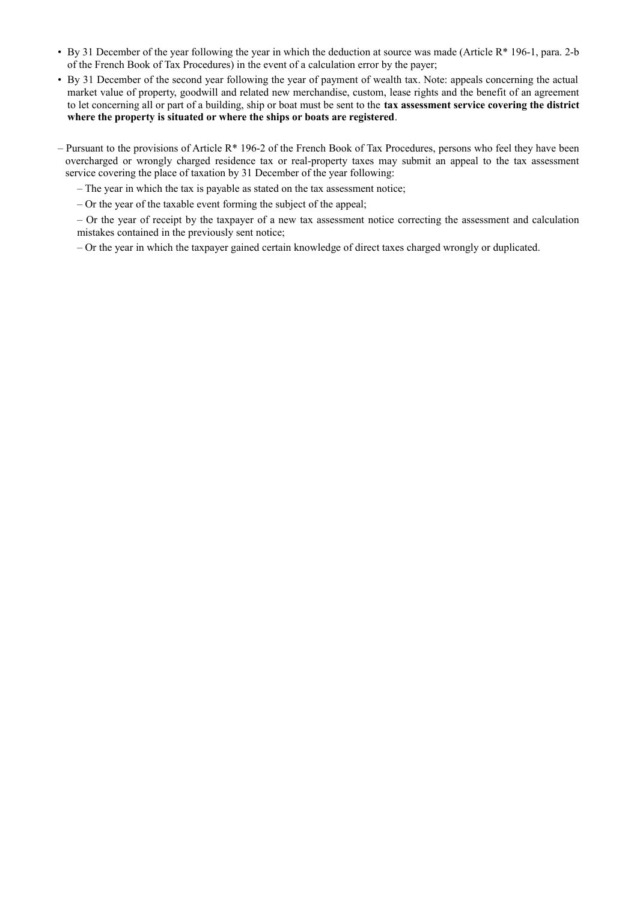- By 31 December of the year following the year in which the deduction at source was made (Article R\* 196-1, para. 2-b of the French Book of Tax Procedures) in the event of a calculation error by the payer;
- By 31 December of the second year following the year of payment of wealth tax. Note: appeals concerning the actual market value of property, goodwill and related new merchandise, custom, lease rights and the benefit of an agreement to let concerning all or part of a building, ship or boat must be sent to the **tax assessment service covering the district where the property is situated or where the ships or boats are registered**.
- Pursuant to the provisions of Article  $R^*$  196-2 of the French Book of Tax Procedures, persons who feel they have been overcharged or wrongly charged residence tax or real-property taxes may submit an appeal to the tax assessment service covering the place of taxation by 31 December of the year following:
	- The year in which the tax is payable as stated on the tax assessment notice;
	- Or the year of the taxable event forming the subject of the appeal;
	- Or the year of receipt by the taxpayer of a new tax assessment notice correcting the assessment and calculation mistakes contained in the previously sent notice;
	- Or the year in which the taxpayer gained certain knowledge of direct taxes charged wrongly or duplicated.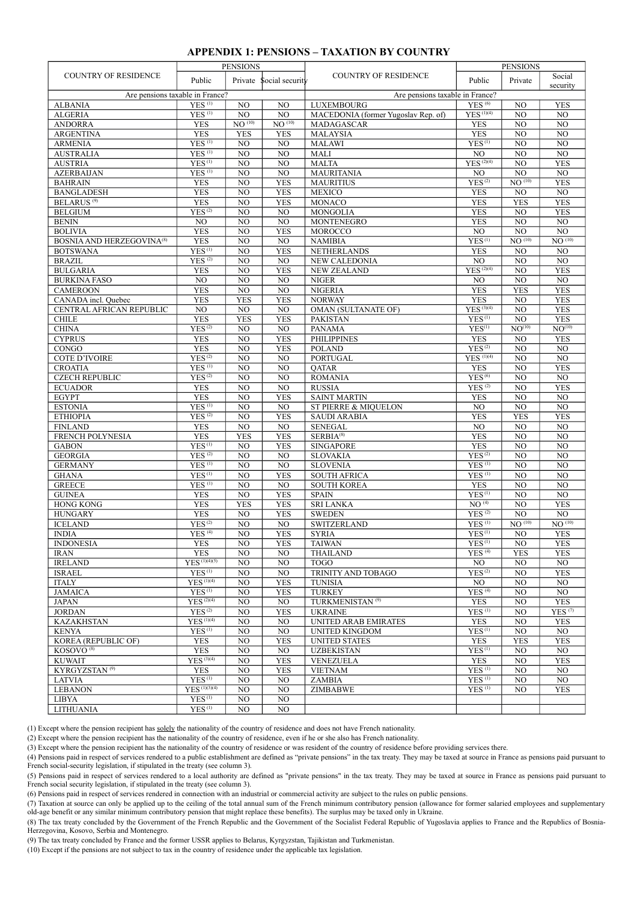#### **APPENDIX 1: PENSIONS – TAXATION BY COUNTRY**

|                                     |                                   | <b>PENSIONS</b>        |                               |                                     | <b>PENSIONS</b>                               |                               |                               |  |
|-------------------------------------|-----------------------------------|------------------------|-------------------------------|-------------------------------------|-----------------------------------------------|-------------------------------|-------------------------------|--|
| <b>COUNTRY OF RESIDENCE</b>         | Public<br>Private Social security |                        | <b>COUNTRY OF RESIDENCE</b>   | Public                              | Private                                       | Social<br>security            |                               |  |
| Are pensions taxable in France?     |                                   |                        |                               | Are pensions taxable in France?     |                                               |                               |                               |  |
| <b>ALBANIA</b>                      | $YES$ <sup>(1)</sup>              | NO.                    | NO                            | <b>LUXEMBOURG</b>                   | <b>YES</b> <sup>(6)</sup>                     | NO                            | <b>YES</b>                    |  |
| <b>ALGERIA</b>                      | YES <sup>(1)</sup>                | NO                     | NO                            | MACEDONIA (former Yugoslav Rep. of) | $YES^{(1)(4)}$                                | NO                            | $\overline{NO}$               |  |
| <b>ANDORRA</b>                      | <b>YES</b>                        | $\overline{NO^{(10)}}$ | $NO$ <sup>(10)</sup>          | MADAGASCAR                          | <b>YES</b>                                    | NO                            | N <sub>O</sub>                |  |
| <b>ARGENTINA</b>                    | <b>YES</b>                        | <b>YES</b>             | <b>YES</b>                    | <b>MALAYSIA</b>                     | <b>YES</b>                                    | NO                            | $\overline{NO}$               |  |
| <b>ARMENIA</b>                      | $YES$ <sup>(1)</sup>              | $\overline{NO}$        | NO                            | <b>MALAWI</b>                       | YES <sup>(1)</sup>                            | NO                            | $\overline{NO}$               |  |
| <b>AUSTRALIA</b>                    | YES <sup>(1)</sup>                | NO                     | $\overline{NO}$               | <b>MALI</b>                         | NO                                            | NO                            | $\overline{NO}$               |  |
| <b>AUSTRIA</b>                      | YES <sup>(1)</sup>                | NO                     | NO                            | <b>MALTA</b>                        | $YES^{(2)(4)}$                                | NO                            | <b>YES</b>                    |  |
| <b>AZERBAIJAN</b>                   | YES <sup>(1)</sup>                | NO                     | $\overline{NO}$<br><b>YES</b> | <b>MAURITANIA</b>                   | NO<br>YES <sup>(2)</sup>                      | NO<br>NO <sup>(10)</sup>      | $\overline{NO}$<br><b>YES</b> |  |
| <b>BAHRAIN</b><br><b>BANGLADESH</b> | <b>YES</b><br><b>YES</b>          | NO<br>NO               | <b>YES</b>                    | <b>MAURITIUS</b><br><b>MEXICO</b>   | <b>YES</b>                                    | NO                            | NO                            |  |
| <b>BELARUS<sup>(9)</sup></b>        | <b>YES</b>                        | NO                     | <b>YES</b>                    | <b>MONACO</b>                       | <b>YES</b>                                    | <b>YES</b>                    | <b>YES</b>                    |  |
| <b>BELGIUM</b>                      | YES <sup>(2)</sup>                | NO                     | NO                            | MONGOLIA                            | <b>YES</b>                                    | NO                            | <b>YES</b>                    |  |
| <b>BENIN</b>                        | NO.                               | NO                     | NO                            | <b>MONTENEGRO</b>                   | <b>YES</b>                                    | NO                            | $\overline{NO}$               |  |
| <b>BOLIVIA</b>                      | <b>YES</b>                        | NO                     | <b>YES</b>                    | <b>MOROCCO</b>                      | $_{\rm NO}$                                   | N <sub>O</sub>                | N <sub>O</sub>                |  |
| <b>BOSNIA AND HERZEGOVINA(8)</b>    | <b>YES</b>                        | NO                     | NO                            | <b>NAMIBIA</b>                      | YES <sup>(1)</sup>                            | $\overline{\text{NO}^{(10)}}$ | NO <sup>(10)</sup>            |  |
| <b>BOTSWANA</b>                     | YES <sup>(1)</sup>                | NO                     | <b>YES</b>                    | <b>NETHERLANDS</b>                  | <b>YES</b>                                    | NO                            | NO                            |  |
| <b>BRAZIL</b>                       | YES <sup>(2)</sup>                | $\overline{NO}$        | NO                            | NEW CALEDONIA                       | $\overline{NO}$                               | NO                            | N <sub>O</sub>                |  |
| <b>BULGARIA</b>                     | <b>YES</b>                        | NO                     | <b>YES</b>                    | <b>NEW ZEALAND</b>                  | $YES^{(2)(4)}$                                | NO                            | <b>YES</b>                    |  |
| <b>BURKINA FASO</b>                 | $\overline{NO}$                   | NO                     | NO                            | <b>NIGER</b>                        | NO                                            | NO                            | $\overline{NO}$               |  |
| <b>CAMEROON</b>                     | <b>YES</b>                        | NO                     | NO                            | <b>NIGERIA</b>                      | <b>YES</b>                                    | <b>YES</b>                    | <b>YES</b>                    |  |
| CANADA incl. Quebec                 | <b>YES</b>                        | <b>YES</b>             | <b>YES</b>                    | <b>NORWAY</b>                       | <b>YES</b>                                    | NO                            | <b>YES</b>                    |  |
| CENTRAL AFRICAN REPUBLIC            | NO                                | NO                     | NO                            | <b>OMAN (SULTANATE OF)</b>          | $YES^{(3)(4)}$                                | NO                            | <b>YES</b>                    |  |
| <b>CHILE</b>                        | <b>YES</b>                        | <b>YES</b>             | <b>YES</b>                    | <b>PAKISTAN</b>                     | YES <sup>(1)</sup>                            | NO.                           | <b>YES</b>                    |  |
| <b>CHINA</b>                        | YES <sup>(2)</sup>                | NO                     | NO                            | <b>PANAMA</b>                       | YES <sup>(1)</sup>                            | NO <sup>(10)</sup>            | NO <sup>(10)</sup>            |  |
| <b>CYPRUS</b>                       | <b>YES</b>                        | NO                     | <b>YES</b>                    | <b>PHILIPPINES</b>                  | <b>YES</b>                                    | NO                            | <b>YES</b>                    |  |
| CONGO<br><b>COTE D'IVOIRE</b>       | <b>YES</b><br>YES <sup>(2)</sup>  | NO<br>NO               | <b>YES</b><br>NO              | <b>POLAND</b><br><b>PORTUGAL</b>    | YES <sup>(2)</sup><br>$YES$ <sup>(1)(4)</sup> | NO<br>NO                      | NO<br>$\overline{NO}$         |  |
| <b>CROATIA</b>                      | YES <sup>(1)</sup>                | NO                     | NO                            | QATAR                               | <b>YES</b>                                    | NO                            | <b>YES</b>                    |  |
| <b>CZECH REPUBLIC</b>               | YES <sup>(2)</sup>                | NO                     | NO                            | <b>ROMANIA</b>                      | YES <sup>(6)</sup>                            | NO                            | NO                            |  |
| <b>ECUADOR</b>                      | <b>YES</b>                        | NO                     | $\overline{NO}$               | <b>RUSSIA</b>                       | YES <sup>(2)</sup>                            | NO                            | <b>YES</b>                    |  |
| <b>EGYPT</b>                        | <b>YES</b>                        | NO                     | <b>YES</b>                    | <b>SAINT MARTIN</b>                 | <b>YES</b>                                    | NO                            | $\overline{NO}$               |  |
| <b>ESTONIA</b>                      | YES <sup>(1)</sup>                | NO                     | NO                            | ST PIERRE & MIQUELON                | N <sub>O</sub>                                | NO                            | NO                            |  |
| <b>ETHIOPIA</b>                     | YES <sup>(2)</sup>                | $\overline{NO}$        | <b>YES</b>                    | <b>SAUDI ARABIA</b>                 | <b>YES</b>                                    | <b>YES</b>                    | <b>YES</b>                    |  |
| <b>FINLAND</b>                      | <b>YES</b>                        | NO                     | NO                            | <b>SENEGAL</b>                      | $\overline{NO}$                               | NO                            | $\overline{NO}$               |  |
| <b>FRENCH POLYNESIA</b>             | <b>YES</b>                        | <b>YES</b>             | <b>YES</b>                    | $SERBIA^{(8)}$                      | <b>YES</b>                                    | NO                            | $\overline{NO}$               |  |
| <b>GABON</b>                        | YES <sup>(1)</sup>                | NO                     | <b>YES</b>                    | <b>SINGAPORE</b>                    | <b>YES</b>                                    | NO                            | N <sub>O</sub>                |  |
| <b>GEORGIA</b>                      | YES <sup>(2)</sup>                | N <sub>O</sub>         | NO                            | <b>SLOVAKIA</b>                     | YES <sup>(2)</sup>                            | N <sub>O</sub>                | $\overline{NO}$               |  |
| <b>GERMANY</b>                      | YES <sup>(1)</sup>                | NO                     | $\overline{NO}$               | <b>SLOVENIA</b>                     | YES <sup>(1)</sup>                            | N <sub>O</sub>                | $\overline{NO}$               |  |
| <b>GHANA</b>                        | YES <sup>(1)</sup>                | N <sub>O</sub>         | <b>YES</b>                    | <b>SOUTH AFRICA</b>                 | YES <sup>(1)</sup>                            | N <sub>O</sub>                | $\overline{NO}$               |  |
| <b>GREECE</b>                       | YES <sup>(1)</sup>                | NO                     | NO                            | <b>SOUTH KOREA</b>                  | <b>YES</b>                                    | NO                            | $\overline{NO}$               |  |
| <b>GUINEA</b><br><b>HONG KONG</b>   | <b>YES</b>                        | NO                     | <b>YES</b>                    | <b>SPAIN</b>                        | YES <sup>(1)</sup><br>NO <sup>(4)</sup>       | NO                            | NO                            |  |
|                                     | <b>YES</b>                        | <b>YES</b>             | <b>YES</b>                    | <b>SRI LANKA</b>                    | $YES$ <sup>(2)</sup>                          | NO                            | <b>YES</b><br>NO              |  |
| <b>HUNGARY</b><br><b>ICELAND</b>    | <b>YES</b><br>YES <sup>(2)</sup>  | NO<br>NO               | <b>YES</b><br>NO              | <b>SWEDEN</b><br><b>SWITZERLAND</b> | YES <sup>(1)</sup>                            | NO<br>NO <sup>(10)</sup>      | NO <sup>(10)</sup>            |  |
| <b>INDIA</b>                        | $YES$ <sup>(4)</sup>              | NO                     | <b>YES</b>                    | <b>SYRIA</b>                        | YES <sup>(1)</sup>                            | NO                            | <b>YES</b>                    |  |
| <b>INDONESIA</b>                    | YES                               | NO.                    | YES                           | <b>TAIWAN</b>                       | $\overline{\mathrm{YES}^{\,(1)}}$             | NO.                           | YES                           |  |
| <b>IRAN</b>                         | <b>YES</b>                        | NO                     | NO                            | <b>THAILAND</b>                     | YES <sup>(4)</sup>                            | <b>YES</b>                    | <b>YES</b>                    |  |
| <b>IRELAND</b>                      | $YES^{(1)(4)(5)}$                 | NO                     | NO                            | <b>TOGO</b>                         | NO.                                           | NO                            | NO.                           |  |
| <b>ISRAEL</b>                       | YES <sup>(1)</sup>                | NO.                    | NO.                           | TRINITY AND TOBAGO                  | YES <sup>(2)</sup>                            | NO                            | <b>YES</b>                    |  |
| <b>ITALY</b>                        | $YES^{(1)(4)}$                    | NO.                    | <b>YES</b>                    | <b>TUNISIA</b>                      | NO.                                           | NO                            | NO.                           |  |
| <b>JAMAICA</b>                      | YES <sup>(1)</sup>                | NO.                    | <b>YES</b>                    | <b>TURKEY</b>                       | YES <sup>(4)</sup>                            | NO                            | NO.                           |  |
| <b>JAPAN</b>                        | $YES^{(2)(4)}$                    | NO.                    | NO                            | TURKMENISTAN <sup>(9)</sup>         | <b>YES</b>                                    | NO                            | <b>YES</b>                    |  |
| <b>JORDAN</b>                       | YES <sup>(2)</sup>                | NO.                    | <b>YES</b>                    | <b>UKRAINE</b>                      | YES <sup>(1)</sup>                            | NO                            | YES <sup>(7)</sup>            |  |
| <b>KAZAKHSTAN</b>                   | $YES^{(1)(4)}$                    | NO                     | NO                            | <b>UNITED ARAB EMIRATES</b>         | <b>YES</b>                                    | NO                            | <b>YES</b>                    |  |
| <b>KENYA</b>                        | YES <sup>(1)</sup>                | NO.                    | NO                            | <b>UNITED KINGDOM</b>               | YES <sup>(1)</sup>                            | NO                            | NO.                           |  |
| KOREA (REPUBLIC OF)                 | <b>YES</b>                        | NO.                    | <b>YES</b>                    | <b>UNITED STATES</b>                | <b>YES</b>                                    | <b>YES</b>                    | <b>YES</b>                    |  |
| KOSOVO <sup>(8)</sup>               | <b>YES</b>                        | NO.                    | $_{\rm NO}$                   | <b>UZBEKISTAN</b>                   | YES <sup>(1)</sup>                            | NO                            | NO                            |  |
| <b>KUWAIT</b>                       | $YES^{(3)(4)}$                    | NO.                    | <b>YES</b>                    | VENEZUELA                           | <b>YES</b>                                    | NO                            | <b>YES</b>                    |  |
| KYRGYZSTAN <sup>(9)</sup>           | <b>YES</b><br>YES <sup>(1)</sup>  | NO.                    | <b>YES</b>                    | <b>VIETNAM</b>                      | YES <sup>(1)</sup><br>YES <sup>(1)</sup>      | NO<br>NO                      | NO<br>NO                      |  |
| <b>LATVIA</b><br><b>LEBANON</b>     | $YES$ <sup>(1)(3)(4)</sup>        | NO.<br>NO.             | NO.<br>NO                     | ZAMBIA<br><b>ZIMBABWE</b>           | YES <sup>(1)</sup>                            | NO                            | <b>YES</b>                    |  |
| <b>LIBYA</b>                        | YES <sup>(1)</sup>                | NO.                    | NO                            |                                     |                                               |                               |                               |  |
| <b>LITHUANIA</b>                    | YES <sup>(1)</sup>                | $_{\rm NO}$            | $_{\rm NO}$                   |                                     |                                               |                               |                               |  |
|                                     |                                   |                        |                               |                                     |                                               |                               |                               |  |

(1) Except where the pension recipient has solely the nationality of the country of residence and does not have French nationality.

(2) Except where the pension recipient has the nationality of the country of residence, even if he or she also has French nationality.

(3) Except where the pension recipient has the nationality of the country of residence or was resident of the country of residence before providing services there.

(4) Pensions paid in respect of services rendered to a public establishment are defined as "private pensions" in the tax treaty. They may be taxed at source in France as pensions paid pursuant to French social-security legislation, if stipulated in the treaty (see column 3).

(5) Pensions paid in respect of services rendered to a local authority are defined as "private pensions" in the tax treaty. They may be taxed at source in France as pensions paid pursuant to French social security legislation, if stipulated in the treaty (see column 3).

(6) Pensions paid in respect of services rendered in connection with an industrial or commercial activity are subject to the rules on public pensions.

(7) Taxation at source can only be applied up to the ceiling of the total annual sum of the French minimum contributory pension (allowance for former salaried employees and supplementary old-age benefit or any similar minimum contributory pension that might replace these benefits). The surplus may be taxed only in Ukraine.

(8) The tax treaty concluded by the Government of the French Republic and the Government of the Socialist Federal Republic of Yugoslavia applies to France and the Republics of Bosnia-Herzegovina, Kosovo, Serbia and Montenegro.

(9) The tax treaty concluded by France and the former USSR applies to Belarus, Kyrgyzstan, Tajikistan and Turkmenistan.

(10) Except if the pensions are not subject to tax in the country of residence under the applicable tax legislation.